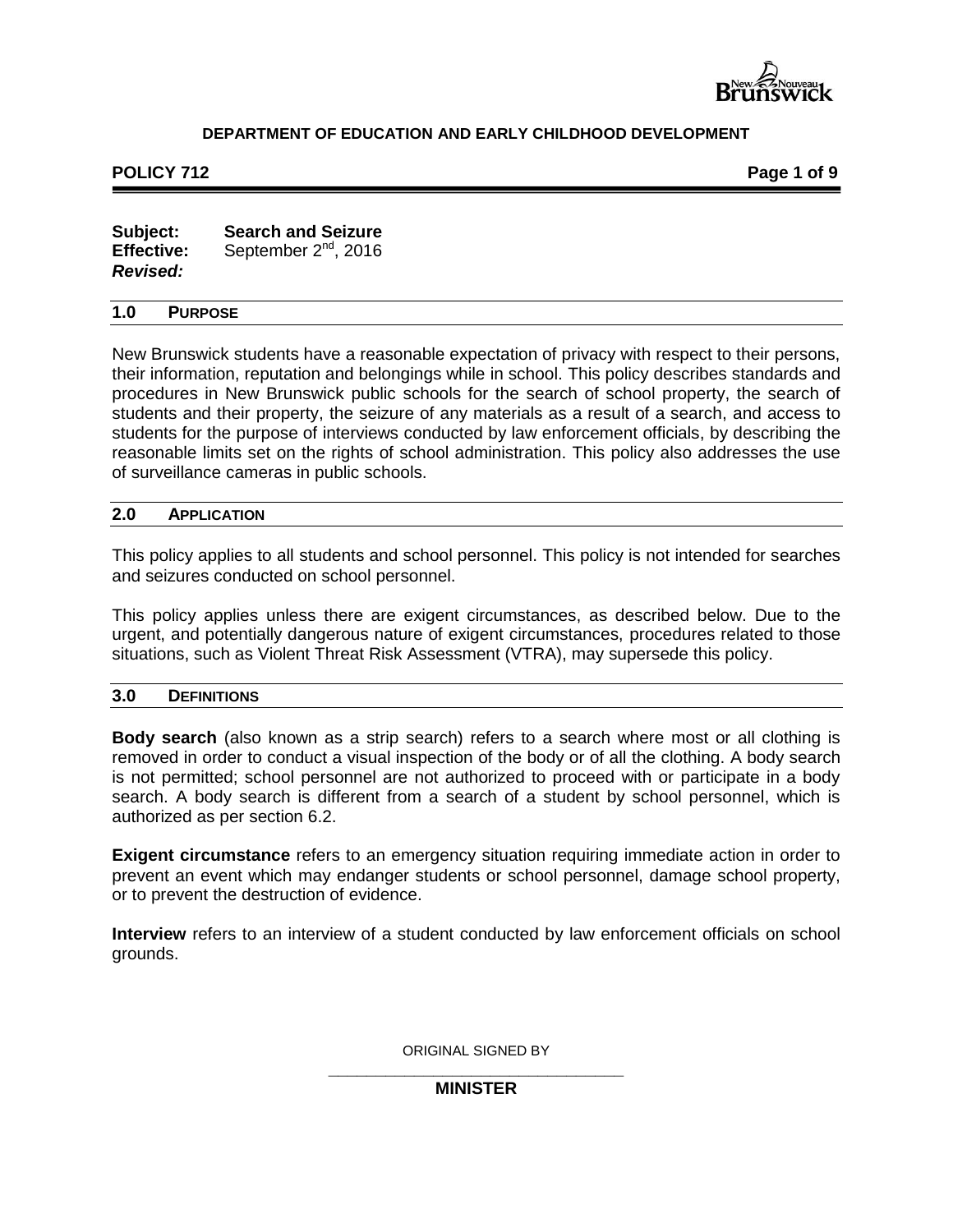

#### **POLICY 712 POLICY 712**

| Subject:          | <b>Search and Seizure</b> |
|-------------------|---------------------------|
| <b>Effective:</b> | September $2^{nd}$ , 2016 |
| <b>Revised:</b>   |                           |

#### **1.0 PURPOSE**

New Brunswick students have a reasonable expectation of privacy with respect to their persons, their information, reputation and belongings while in school. This policy describes standards and procedures in New Brunswick public schools for the search of school property, the search of students and their property, the seizure of any materials as a result of a search, and access to students for the purpose of interviews conducted by law enforcement officials, by describing the reasonable limits set on the rights of school administration. This policy also addresses the use of surveillance cameras in public schools.

#### **2.0 APPLICATION**

This policy applies to all students and school personnel. This policy is not intended for searches and seizures conducted on school personnel.

This policy applies unless there are exigent circumstances, as described below. Due to the urgent, and potentially dangerous nature of exigent circumstances, procedures related to those situations, such as Violent Threat Risk Assessment (VTRA), may supersede this policy.

#### **3.0 DEFINITIONS**

**Body search** (also known as a strip search) refers to a search where most or all clothing is removed in order to conduct a visual inspection of the body or of all the clothing. A body search is not permitted; school personnel are not authorized to proceed with or participate in a body search. A body search is different from a search of a student by school personnel, which is authorized as per section 6.2.

**Exigent circumstance** refers to an emergency situation requiring immediate action in order to prevent an event which may endanger students or school personnel, damage school property, or to prevent the destruction of evidence.

**Interview** refers to an interview of a student conducted by law enforcement officials on school grounds.

ORIGINAL SIGNED BY

#### **\_\_\_\_\_\_\_\_\_\_\_\_\_\_\_\_\_\_\_\_\_\_\_\_\_\_\_\_\_\_\_ MINISTER**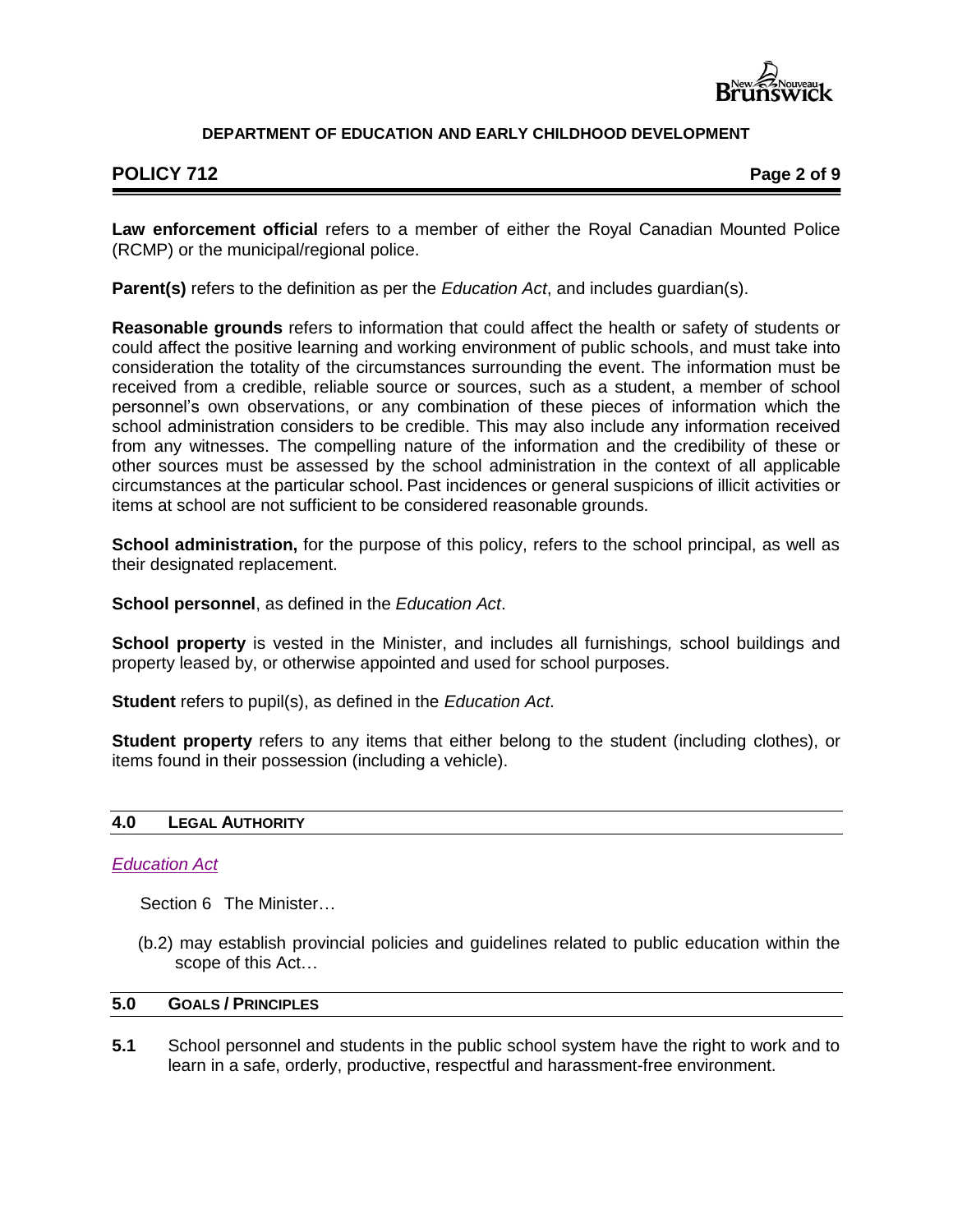

# **POLICY 712 Page 2 of 9**

**Law enforcement official** refers to a member of either the Royal Canadian Mounted Police (RCMP) or the municipal/regional police.

**Parent(s)** refers to the definition as per the *Education Act*, and includes guardian(s).

**Reasonable grounds** refers to information that could affect the health or safety of students or could affect the positive learning and working environment of public schools, and must take into consideration the totality of the circumstances surrounding the event. The information must be received from a credible, reliable source or sources, such as a student, a member of school personnel's own observations, or any combination of these pieces of information which the school administration considers to be credible. This may also include any information received from any witnesses. The compelling nature of the information and the credibility of these or other sources must be assessed by the school administration in the context of all applicable circumstances at the particular school. Past incidences or general suspicions of illicit activities or items at school are not sufficient to be considered reasonable grounds.

**School administration,** for the purpose of this policy, refers to the school principal, as well as their designated replacement.

**School personnel**, as defined in the *Education Act*.

**School property** is vested in the Minister, and includes all furnishings*,* school buildings and property leased by, or otherwise appointed and used for school purposes.

**Student** refers to pupil(s), as defined in the *Education Act*.

**Student property** refers to any items that either belong to the student (including clothes), or items found in their possession (including a vehicle).

# **4.0 LEGAL AUTHORITY**

## *[Education Act](http://laws.gnb.ca/en/ShowPdf/cs/E-1.12.pdf)*

Section 6 The Minister…

(b.2) may establish provincial policies and guidelines related to public education within the scope of this Act…

#### **5.0 GOALS / PRINCIPLES**

**5.1** School personnel and students in the public school system have the right to work and to learn in a safe, orderly, productive, respectful and harassment-free environment.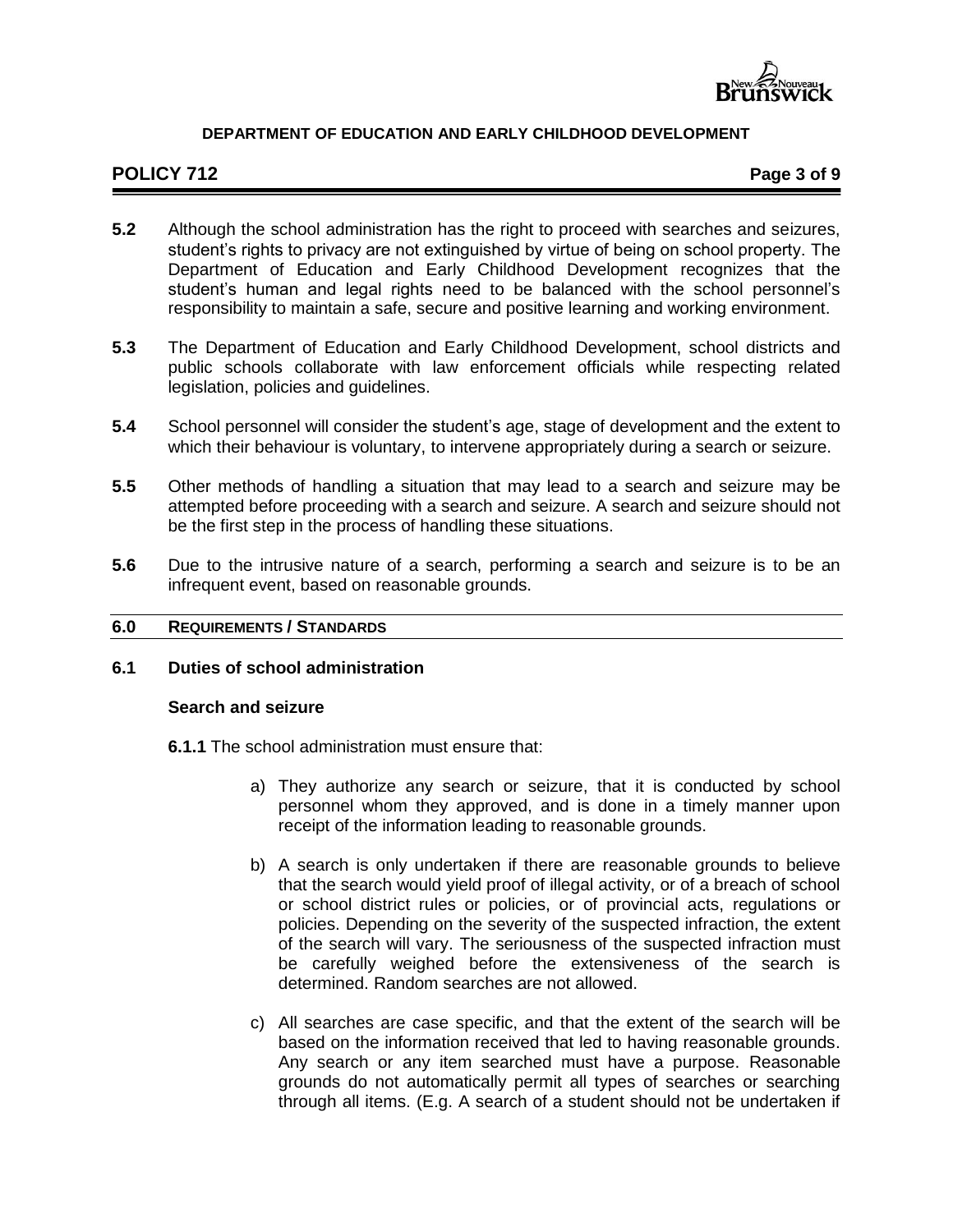

# **POLICY 712 Page 3 of 9**

- **5.2** Although the school administration has the right to proceed with searches and seizures, student's rights to privacy are not extinguished by virtue of being on school property. The Department of Education and Early Childhood Development recognizes that the student's human and legal rights need to be balanced with the school personnel's responsibility to maintain a safe, secure and positive learning and working environment.
- **5.3** The Department of Education and Early Childhood Development, school districts and public schools collaborate with law enforcement officials while respecting related legislation, policies and guidelines.
- **5.4** School personnel will consider the student's age, stage of development and the extent to which their behaviour is voluntary, to intervene appropriately during a search or seizure.
- **5.5** Other methods of handling a situation that may lead to a search and seizure may be attempted before proceeding with a search and seizure. A search and seizure should not be the first step in the process of handling these situations.
- **5.6** Due to the intrusive nature of a search, performing a search and seizure is to be an infrequent event, based on reasonable grounds.

#### **6.0 REQUIREMENTS / STANDARDS**

# **6.1 Duties of school administration**

#### **Search and seizure**

- **6.1.1** The school administration must ensure that:
	- a) They authorize any search or seizure, that it is conducted by school personnel whom they approved, and is done in a timely manner upon receipt of the information leading to reasonable grounds.
	- b) A search is only undertaken if there are reasonable grounds to believe that the search would yield proof of illegal activity, or of a breach of school or school district rules or policies, or of provincial acts, regulations or policies. Depending on the severity of the suspected infraction, the extent of the search will vary. The seriousness of the suspected infraction must be carefully weighed before the extensiveness of the search is determined. Random searches are not allowed.
	- c) All searches are case specific, and that the extent of the search will be based on the information received that led to having reasonable grounds. Any search or any item searched must have a purpose. Reasonable grounds do not automatically permit all types of searches or searching through all items. (E.g. A search of a student should not be undertaken if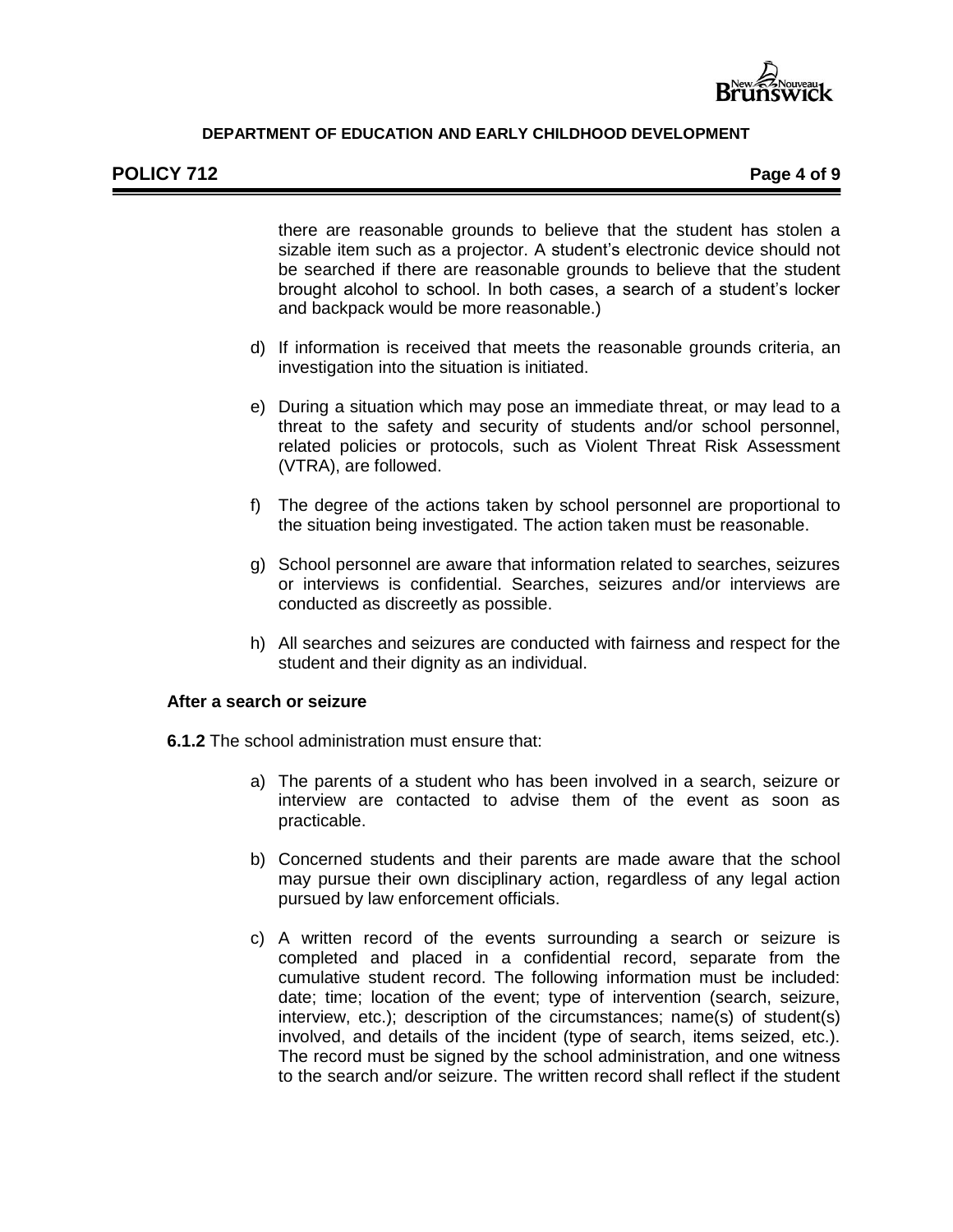

there are reasonable grounds to believe that the student has stolen a sizable item such as a projector. A student's electronic device should not be searched if there are reasonable grounds to believe that the student brought alcohol to school. In both cases, a search of a student's locker and backpack would be more reasonable.)

- d) If information is received that meets the reasonable grounds criteria, an investigation into the situation is initiated.
- e) During a situation which may pose an immediate threat, or may lead to a threat to the safety and security of students and/or school personnel, related policies or protocols, such as Violent Threat Risk Assessment (VTRA), are followed.
- f) The degree of the actions taken by school personnel are proportional to the situation being investigated. The action taken must be reasonable.
- g) School personnel are aware that information related to searches, seizures or interviews is confidential. Searches, seizures and/or interviews are conducted as discreetly as possible.
- h) All searches and seizures are conducted with fairness and respect for the student and their dignity as an individual.

#### **After a search or seizure**

**6.1.2** The school administration must ensure that:

- a) The parents of a student who has been involved in a search, seizure or interview are contacted to advise them of the event as soon as practicable.
- b) Concerned students and their parents are made aware that the school may pursue their own disciplinary action, regardless of any legal action pursued by law enforcement officials.
- c) A written record of the events surrounding a search or seizure is completed and placed in a confidential record, separate from the cumulative student record. The following information must be included: date; time; location of the event; type of intervention (search, seizure, interview, etc.); description of the circumstances; name(s) of student(s) involved, and details of the incident (type of search, items seized, etc.). The record must be signed by the school administration, and one witness to the search and/or seizure. The written record shall reflect if the student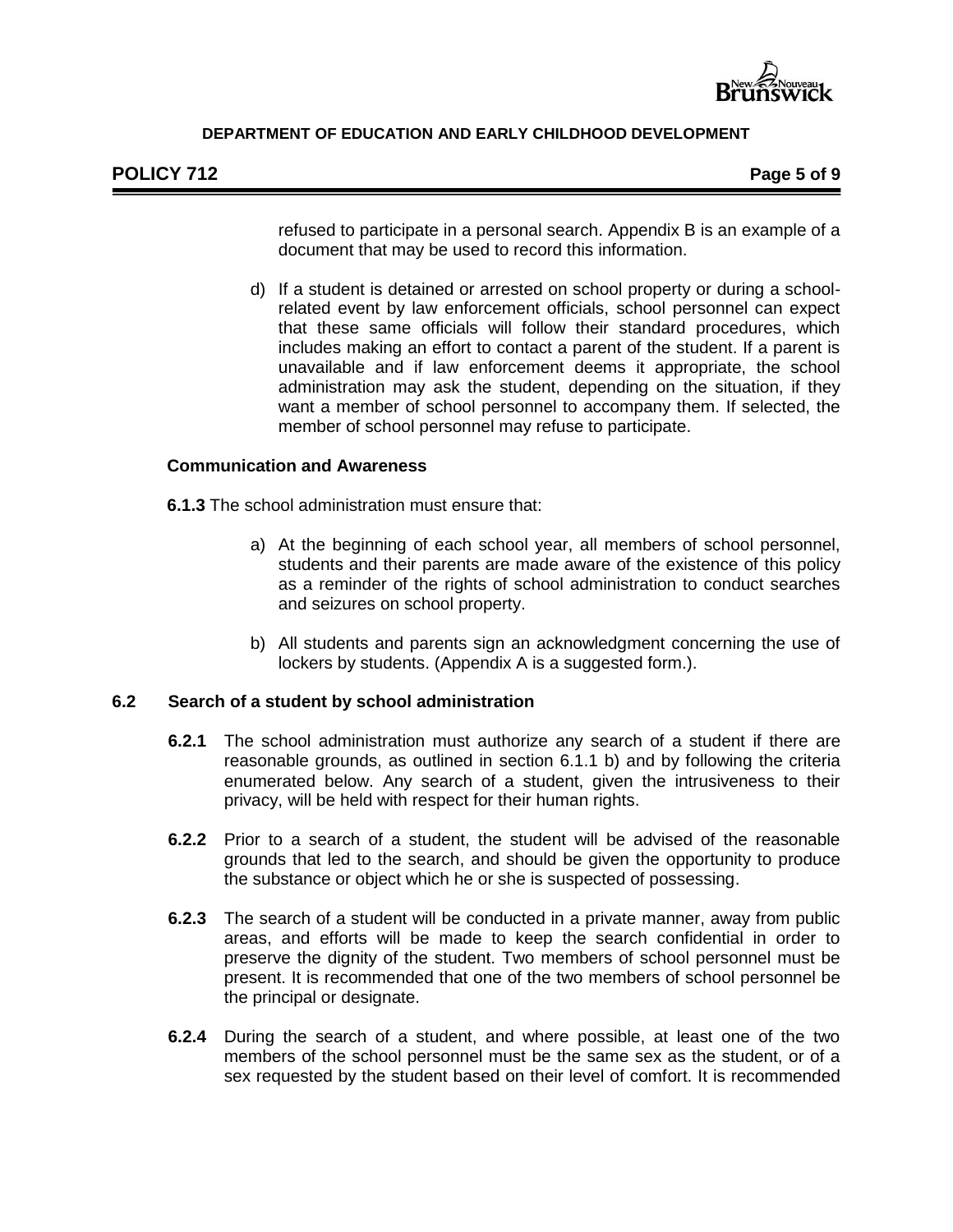

# **POLICY 712 Page 5 of 9**

refused to participate in a personal search. Appendix B is an example of a document that may be used to record this information.

d) If a student is detained or arrested on school property or during a schoolrelated event by law enforcement officials, school personnel can expect that these same officials will follow their standard procedures, which includes making an effort to contact a parent of the student. If a parent is unavailable and if law enforcement deems it appropriate, the school administration may ask the student, depending on the situation, if they want a member of school personnel to accompany them. If selected, the member of school personnel may refuse to participate.

# **Communication and Awareness**

**6.1.3** The school administration must ensure that:

- a) At the beginning of each school year, all members of school personnel, students and their parents are made aware of the existence of this policy as a reminder of the rights of school administration to conduct searches and seizures on school property.
- b) All students and parents sign an acknowledgment concerning the use of lockers by students. (Appendix A is a suggested form.).

# **6.2 Search of a student by school administration**

- **6.2.1** The school administration must authorize any search of a student if there are reasonable grounds, as outlined in section 6.1.1 b) and by following the criteria enumerated below. Any search of a student, given the intrusiveness to their privacy, will be held with respect for their human rights.
- **6.2.2** Prior to a search of a student, the student will be advised of the reasonable grounds that led to the search, and should be given the opportunity to produce the substance or object which he or she is suspected of possessing.
- **6.2.3** The search of a student will be conducted in a private manner, away from public areas, and efforts will be made to keep the search confidential in order to preserve the dignity of the student. Two members of school personnel must be present. It is recommended that one of the two members of school personnel be the principal or designate.
- **6.2.4** During the search of a student, and where possible, at least one of the two members of the school personnel must be the same sex as the student, or of a sex requested by the student based on their level of comfort. It is recommended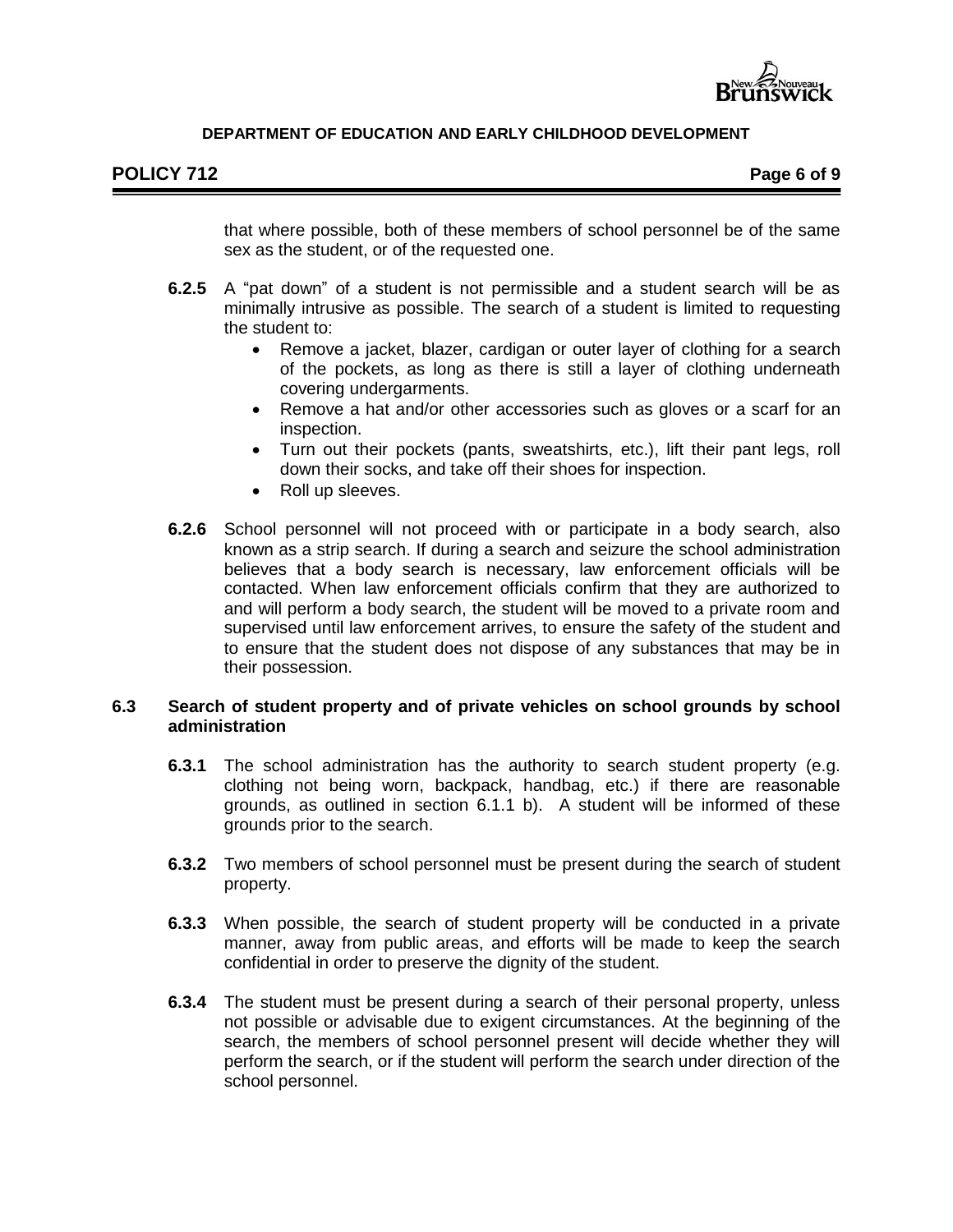

# **POLICY 712 Page 6 of 9**

that where possible, both of these members of school personnel be of the same sex as the student, or of the requested one.

- **6.2.5** A "pat down" of a student is not permissible and a student search will be as minimally intrusive as possible. The search of a student is limited to requesting the student to:
	- Remove a jacket, blazer, cardigan or outer layer of clothing for a search of the pockets, as long as there is still a layer of clothing underneath covering undergarments.
	- Remove a hat and/or other accessories such as gloves or a scarf for an inspection.
	- Turn out their pockets (pants, sweatshirts, etc.), lift their pant legs, roll down their socks, and take off their shoes for inspection.
	- Roll up sleeves.
- **6.2.6** School personnel will not proceed with or participate in a body search, also known as a strip search. If during a search and seizure the school administration believes that a body search is necessary, law enforcement officials will be contacted. When law enforcement officials confirm that they are authorized to and will perform a body search, the student will be moved to a private room and supervised until law enforcement arrives, to ensure the safety of the student and to ensure that the student does not dispose of any substances that may be in their possession.

## **6.3 Search of student property and of private vehicles on school grounds by school administration**

- **6.3.1** The school administration has the authority to search student property (e.g. clothing not being worn, backpack, handbag, etc.) if there are reasonable grounds, as outlined in section 6.1.1 b). A student will be informed of these grounds prior to the search.
- **6.3.2** Two members of school personnel must be present during the search of student property.
- **6.3.3** When possible, the search of student property will be conducted in a private manner, away from public areas, and efforts will be made to keep the search confidential in order to preserve the dignity of the student.
- **6.3.4** The student must be present during a search of their personal property, unless not possible or advisable due to exigent circumstances. At the beginning of the search, the members of school personnel present will decide whether they will perform the search, or if the student will perform the search under direction of the school personnel.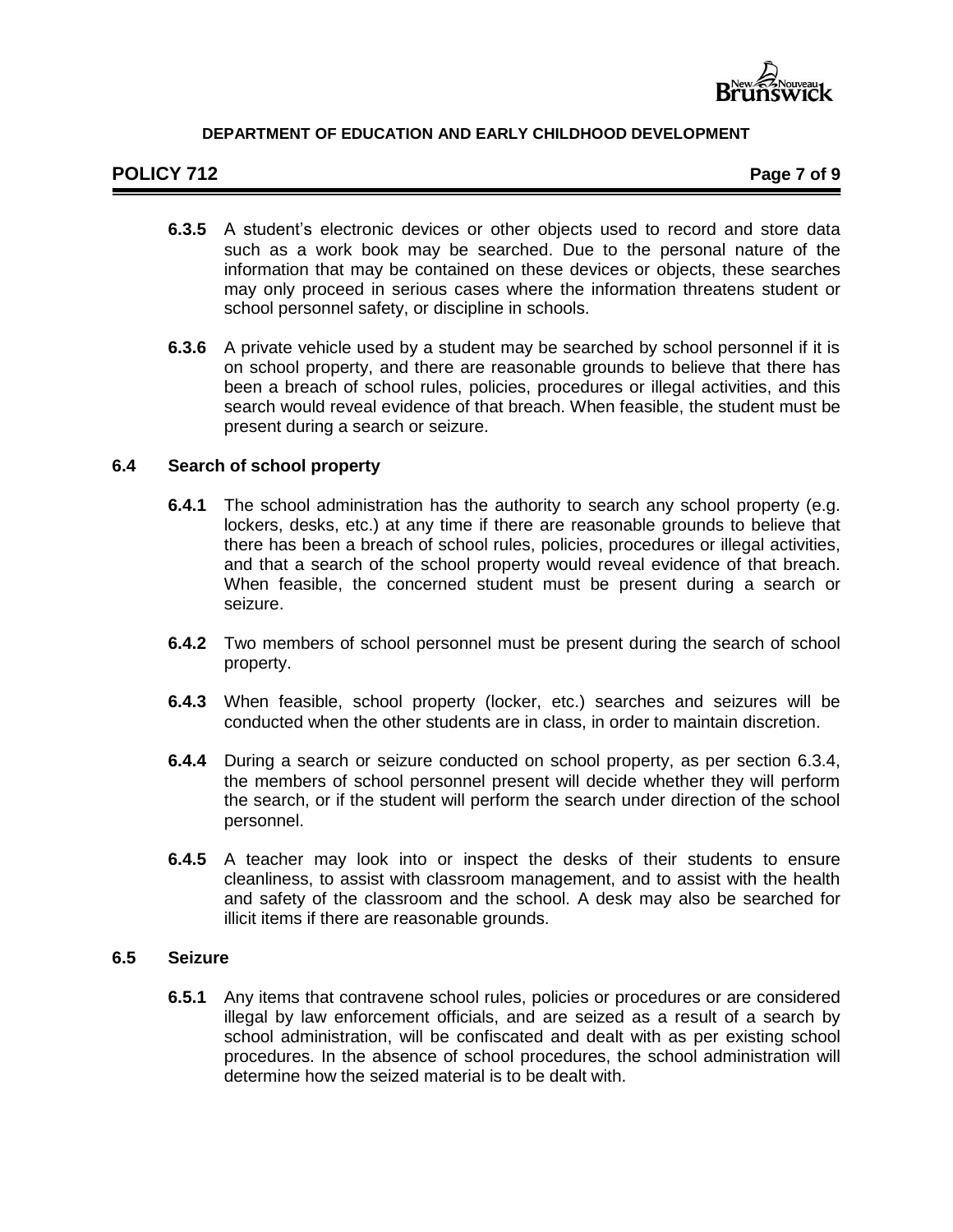

# **POLICY 712 Page 7 of 9**

- **6.3.5** A student's electronic devices or other objects used to record and store data such as a work book may be searched. Due to the personal nature of the information that may be contained on these devices or objects, these searches may only proceed in serious cases where the information threatens student or school personnel safety, or discipline in schools.
- **6.3.6** A private vehicle used by a student may be searched by school personnel if it is on school property, and there are reasonable grounds to believe that there has been a breach of school rules, policies, procedures or illegal activities, and this search would reveal evidence of that breach. When feasible, the student must be present during a search or seizure.

#### **6.4 Search of school property**

- **6.4.1** The school administration has the authority to search any school property (e.g. lockers, desks, etc.) at any time if there are reasonable grounds to believe that there has been a breach of school rules, policies, procedures or illegal activities, and that a search of the school property would reveal evidence of that breach. When feasible, the concerned student must be present during a search or seizure.
- **6.4.2** Two members of school personnel must be present during the search of school property.
- **6.4.3** When feasible, school property (locker, etc.) searches and seizures will be conducted when the other students are in class, in order to maintain discretion.
- **6.4.4** During a search or seizure conducted on school property, as per section 6.3.4, the members of school personnel present will decide whether they will perform the search, or if the student will perform the search under direction of the school personnel.
- **6.4.5** A teacher may look into or inspect the desks of their students to ensure cleanliness, to assist with classroom management, and to assist with the health and safety of the classroom and the school. A desk may also be searched for illicit items if there are reasonable grounds.

# **6.5 Seizure**

**6.5.1** Any items that contravene school rules, policies or procedures or are considered illegal by law enforcement officials, and are seized as a result of a search by school administration, will be confiscated and dealt with as per existing school procedures. In the absence of school procedures, the school administration will determine how the seized material is to be dealt with.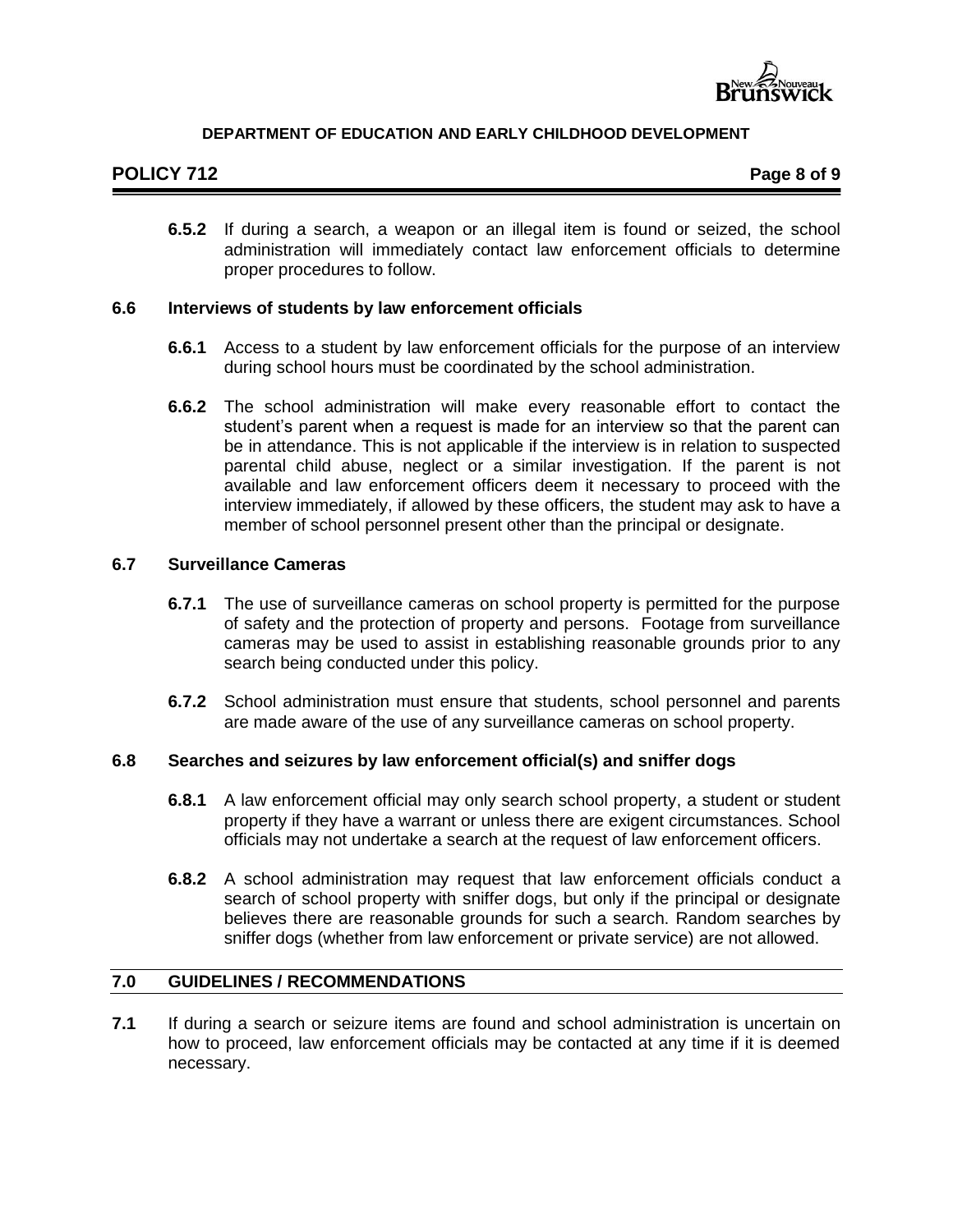

# **POLICY 712 Page 8 of 9**

**6.5.2** If during a search, a weapon or an illegal item is found or seized, the school administration will immediately contact law enforcement officials to determine proper procedures to follow.

#### **6.6 Interviews of students by law enforcement officials**

- **6.6.1** Access to a student by law enforcement officials for the purpose of an interview during school hours must be coordinated by the school administration.
- **6.6.2** The school administration will make every reasonable effort to contact the student's parent when a request is made for an interview so that the parent can be in attendance. This is not applicable if the interview is in relation to suspected parental child abuse, neglect or a similar investigation. If the parent is not available and law enforcement officers deem it necessary to proceed with the interview immediately, if allowed by these officers, the student may ask to have a member of school personnel present other than the principal or designate.

#### **6.7 Surveillance Cameras**

- **6.7.1** The use of surveillance cameras on school property is permitted for the purpose of safety and the protection of property and persons. Footage from surveillance cameras may be used to assist in establishing reasonable grounds prior to any search being conducted under this policy.
- **6.7.2** School administration must ensure that students, school personnel and parents are made aware of the use of any surveillance cameras on school property.

## **6.8 Searches and seizures by law enforcement official(s) and sniffer dogs**

- **6.8.1** A law enforcement official may only search school property, a student or student property if they have a warrant or unless there are exigent circumstances. School officials may not undertake a search at the request of law enforcement officers.
- **6.8.2** A school administration may request that law enforcement officials conduct a search of school property with sniffer dogs, but only if the principal or designate believes there are reasonable grounds for such a search. Random searches by sniffer dogs (whether from law enforcement or private service) are not allowed.

#### **7.0 GUIDELINES / RECOMMENDATIONS**

**7.1** If during a search or seizure items are found and school administration is uncertain on how to proceed, law enforcement officials may be contacted at any time if it is deemed necessary.